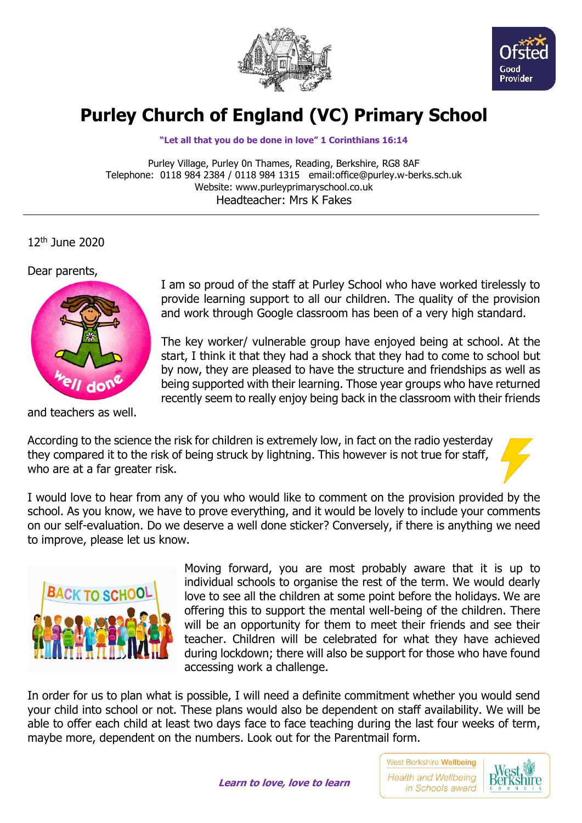



## **Purley Church of England (VC) Primary School**

**"Let all that you do be done in love" 1 Corinthians 16:14**

Purley Village, Purley 0n Thames, Reading, Berkshire, RG8 8AF Telephone: 0118 984 2384 / 0118 984 1315 email:office@purley.w-berks.sch.uk Website: www.purleyprimaryschool.co.uk Headteacher: Mrs K Fakes

12th June 2020

Dear parents,



and teachers as well.

I am so proud of the staff at Purley School who have worked tirelessly to provide learning support to all our children. The quality of the provision and work through Google classroom has been of a very high standard.

The key worker/ vulnerable group have enjoyed being at school. At the start, I think it that they had a shock that they had to come to school but by now, they are pleased to have the structure and friendships as well as being supported with their learning. Those year groups who have returned recently seem to really enjoy being back in the classroom with their friends

According to the science the risk for children is extremely low, in fact on the radio yesterday they compared it to the risk of being struck by lightning. This however is not true for staff, who are at a far greater risk.

I would love to hear from any of you who would like to comment on the provision provided by the school. As you know, we have to prove everything, and it would be lovely to include your comments on our self-evaluation. Do we deserve a well done sticker? Conversely, if there is anything we need to improve, please let us know.



Moving forward, you are most probably aware that it is up to individual schools to organise the rest of the term. We would dearly love to see all the children at some point before the holidays. We are offering this to support the mental well-being of the children. There will be an opportunity for them to meet their friends and see their teacher. Children will be celebrated for what they have achieved during lockdown; there will also be support for those who have found accessing work a challenge.

In order for us to plan what is possible, I will need a definite commitment whether you would send your child into school or not. These plans would also be dependent on staff availability. We will be able to offer each child at least two days face to face teaching during the last four weeks of term, maybe more, dependent on the numbers. Look out for the Parentmail form.